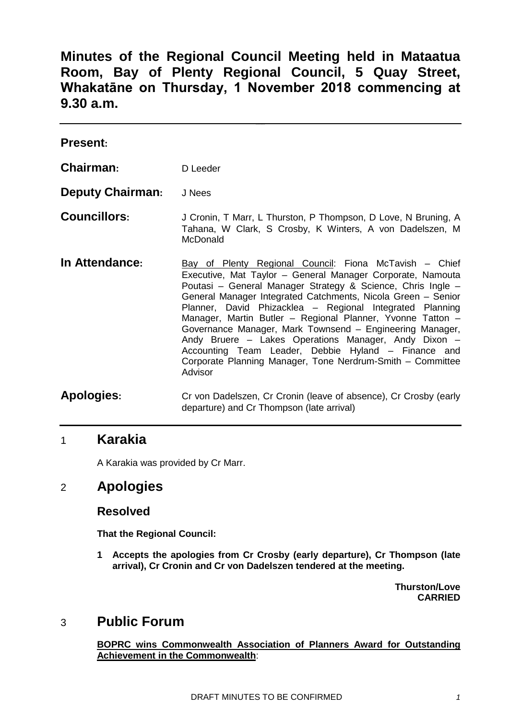**Minutes of the Regional Council Meeting held in Mataatua Room, Bay of Plenty Regional Council, 5 Quay Street, Whakatāne on Thursday, 1 November 2018 commencing at 9.30 a.m.**

| <b>Present:</b>         |                                                                                                                                                                                                                                                                                                                                                                                                                                                                                                                                                                                                                                   |
|-------------------------|-----------------------------------------------------------------------------------------------------------------------------------------------------------------------------------------------------------------------------------------------------------------------------------------------------------------------------------------------------------------------------------------------------------------------------------------------------------------------------------------------------------------------------------------------------------------------------------------------------------------------------------|
| Chairman:               | D Leeder                                                                                                                                                                                                                                                                                                                                                                                                                                                                                                                                                                                                                          |
| <b>Deputy Chairman:</b> | J Nees                                                                                                                                                                                                                                                                                                                                                                                                                                                                                                                                                                                                                            |
| <b>Councillors:</b>     | J Cronin, T Marr, L Thurston, P Thompson, D Love, N Bruning, A<br>Tahana, W Clark, S Crosby, K Winters, A von Dadelszen, M<br>McDonald                                                                                                                                                                                                                                                                                                                                                                                                                                                                                            |
| In Attendance:          | Bay of Plenty Regional Council: Fiona McTavish – Chief<br>Executive, Mat Taylor - General Manager Corporate, Namouta<br>Poutasi – General Manager Strategy & Science, Chris Ingle –<br>General Manager Integrated Catchments, Nicola Green - Senior<br>Planner, David Phizacklea - Regional Integrated Planning<br>Manager, Martin Butler - Regional Planner, Yvonne Tatton -<br>Governance Manager, Mark Townsend - Engineering Manager,<br>Andy Bruere - Lakes Operations Manager, Andy Dixon -<br>Accounting Team Leader, Debbie Hyland - Finance and<br>Corporate Planning Manager, Tone Nerdrum-Smith - Committee<br>Advisor |
| <b>Apologies:</b>       | Cr von Dadelszen, Cr Cronin (leave of absence), Cr Crosby (early<br>departure) and Cr Thompson (late arrival)                                                                                                                                                                                                                                                                                                                                                                                                                                                                                                                     |

## 1 **Karakia**

A Karakia was provided by Cr Marr.

# 2 **Apologies**

#### **Resolved**

**That the Regional Council:**

**1 Accepts the apologies from Cr Crosby (early departure), Cr Thompson (late arrival), Cr Cronin and Cr von Dadelszen tendered at the meeting.**

> **Thurston/Love CARRIED**

# 3 **Public Forum**

**BOPRC wins Commonwealth Association of Planners Award for Outstanding Achievement in the Commonwealth**: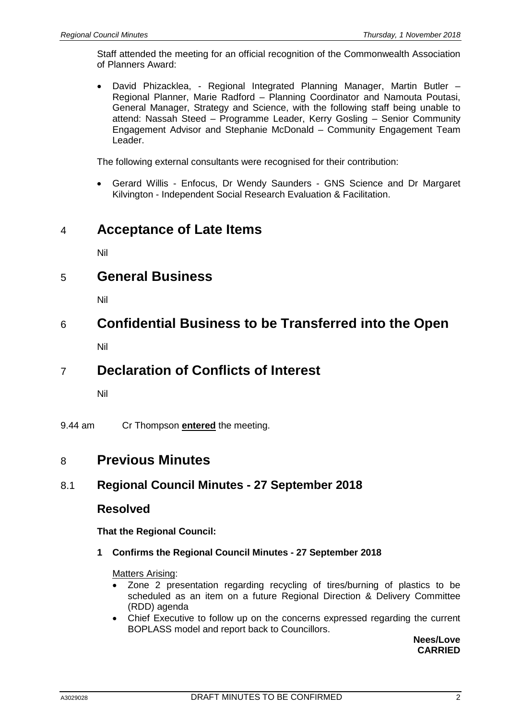Staff attended the meeting for an official recognition of the Commonwealth Association of Planners Award:

• David Phizacklea, - Regional Integrated Planning Manager, Martin Butler – Regional Planner, Marie Radford – Planning Coordinator and Namouta Poutasi, General Manager, Strategy and Science, with the following staff being unable to attend: Nassah Steed – Programme Leader, Kerry Gosling – Senior Community Engagement Advisor and Stephanie McDonald – Community Engagement Team Leader.

The following external consultants were recognised for their contribution:

• Gerard Willis - Enfocus, Dr Wendy Saunders - GNS Science and Dr Margaret Kilvington - Independent Social Research Evaluation & Facilitation.

# 4 **Acceptance of Late Items**

Nil

# 5 **General Business**

Nil

# 6 **Confidential Business to be Transferred into the Open**

Nil

# 7 **Declaration of Conflicts of Interest**

Nil

9.44 am Cr Thompson **entered** the meeting.

# 8 **Previous Minutes**

### 8.1 **Regional Council Minutes - 27 September 2018**

### **Resolved**

**That the Regional Council:**

**1 Confirms the Regional Council Minutes - 27 September 2018**

#### Matters Arising:

- Zone 2 presentation regarding recycling of tires/burning of plastics to be scheduled as an item on a future Regional Direction & Delivery Committee (RDD) agenda
- Chief Executive to follow up on the concerns expressed regarding the current BOPLASS model and report back to Councillors.

**Nees/Love CARRIED**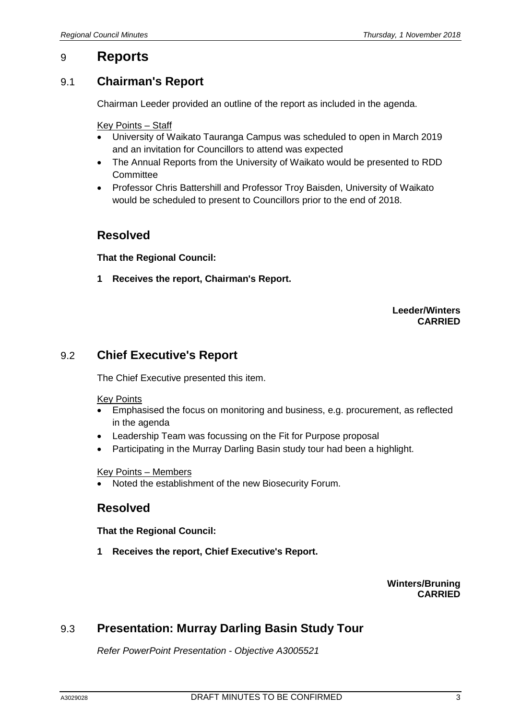## 9 **Reports**

### 9.1 **Chairman's Report**

Chairman Leeder provided an outline of the report as included in the agenda.

Key Points – Staff

- University of Waikato Tauranga Campus was scheduled to open in March 2019 and an invitation for Councillors to attend was expected
- The Annual Reports from the University of Waikato would be presented to RDD **Committee**
- Professor Chris Battershill and Professor Troy Baisden, University of Waikato would be scheduled to present to Councillors prior to the end of 2018.

### **Resolved**

**That the Regional Council:**

**1 Receives the report, Chairman's Report.**

#### **Leeder/Winters CARRIED**

### 9.2 **Chief Executive's Report**

The Chief Executive presented this item.

#### Key Points

- Emphasised the focus on monitoring and business, e.g. procurement, as reflected in the agenda
- Leadership Team was focussing on the Fit for Purpose proposal
- Participating in the Murray Darling Basin study tour had been a highlight.

#### Key Points – Members

• Noted the establishment of the new Biosecurity Forum.

### **Resolved**

**That the Regional Council:**

**1 Receives the report, Chief Executive's Report.**

#### **Winters/Bruning CARRIED**

## 9.3 **Presentation: Murray Darling Basin Study Tour**

*Refer PowerPoint Presentation - Objective A3005521*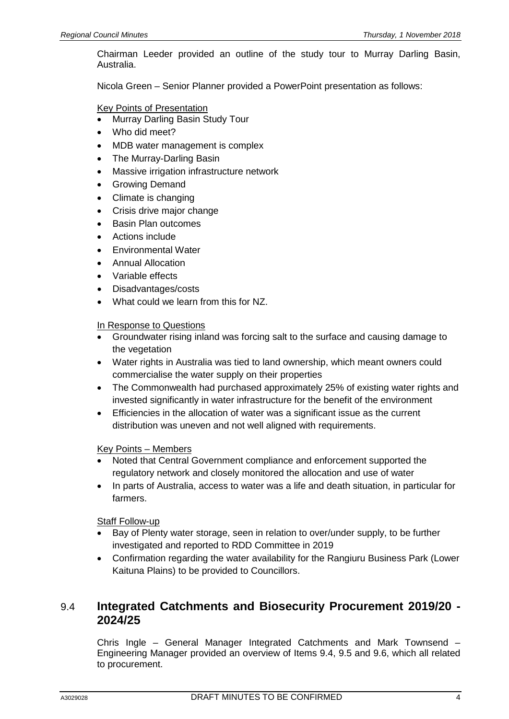Chairman Leeder provided an outline of the study tour to Murray Darling Basin, Australia.

Nicola Green – Senior Planner provided a PowerPoint presentation as follows:

Key Points of Presentation

- Murray Darling Basin Study Tour
- Who did meet?
- MDB water management is complex
- The Murray-Darling Basin
- Massive irrigation infrastructure network
- Growing Demand
- Climate is changing
- Crisis drive major change
- Basin Plan outcomes
- Actions include
- Environmental Water
- Annual Allocation
- Variable effects
- Disadvantages/costs
- What could we learn from this for NZ.

#### In Response to Questions

- Groundwater rising inland was forcing salt to the surface and causing damage to the vegetation
- Water rights in Australia was tied to land ownership, which meant owners could commercialise the water supply on their properties
- The Commonwealth had purchased approximately 25% of existing water rights and invested significantly in water infrastructure for the benefit of the environment
- Efficiencies in the allocation of water was a significant issue as the current distribution was uneven and not well aligned with requirements.

#### Key Points – Members

- Noted that Central Government compliance and enforcement supported the regulatory network and closely monitored the allocation and use of water
- In parts of Australia, access to water was a life and death situation, in particular for farmers.

**Staff Follow-up** 

- Bay of Plenty water storage, seen in relation to over/under supply, to be further investigated and reported to RDD Committee in 2019
- Confirmation regarding the water availability for the Rangiuru Business Park (Lower Kaituna Plains) to be provided to Councillors.

### 9.4 **Integrated Catchments and Biosecurity Procurement 2019/20 - 2024/25**

Chris Ingle – General Manager Integrated Catchments and Mark Townsend – Engineering Manager provided an overview of Items 9.4, 9.5 and 9.6, which all related to procurement.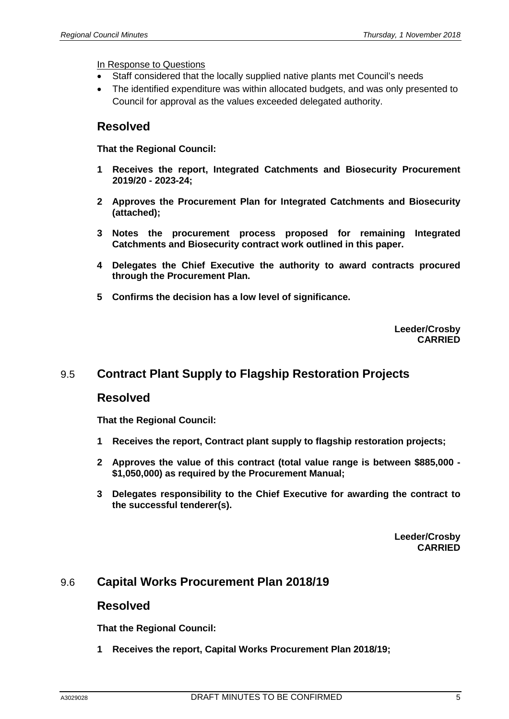In Response to Questions

- Staff considered that the locally supplied native plants met Council's needs
- The identified expenditure was within allocated budgets, and was only presented to Council for approval as the values exceeded delegated authority.

#### **Resolved**

**That the Regional Council:**

- **1 Receives the report, Integrated Catchments and Biosecurity Procurement 2019/20 - 2023-24;**
- **2 Approves the Procurement Plan for Integrated Catchments and Biosecurity (attached);**
- **3 Notes the procurement process proposed for remaining Integrated Catchments and Biosecurity contract work outlined in this paper.**
- **4 Delegates the Chief Executive the authority to award contracts procured through the Procurement Plan.**
- **5 Confirms the decision has a low level of significance.**

**Leeder/Crosby CARRIED**

### 9.5 **Contract Plant Supply to Flagship Restoration Projects**

#### **Resolved**

**That the Regional Council:**

- **1 Receives the report, Contract plant supply to flagship restoration projects;**
- **2 Approves the value of this contract (total value range is between \$885,000 - \$1,050,000) as required by the Procurement Manual;**
- **3 Delegates responsibility to the Chief Executive for awarding the contract to the successful tenderer(s).**

**Leeder/Crosby CARRIED**

### 9.6 **Capital Works Procurement Plan 2018/19**

#### **Resolved**

**That the Regional Council:**

**1 Receives the report, Capital Works Procurement Plan 2018/19;**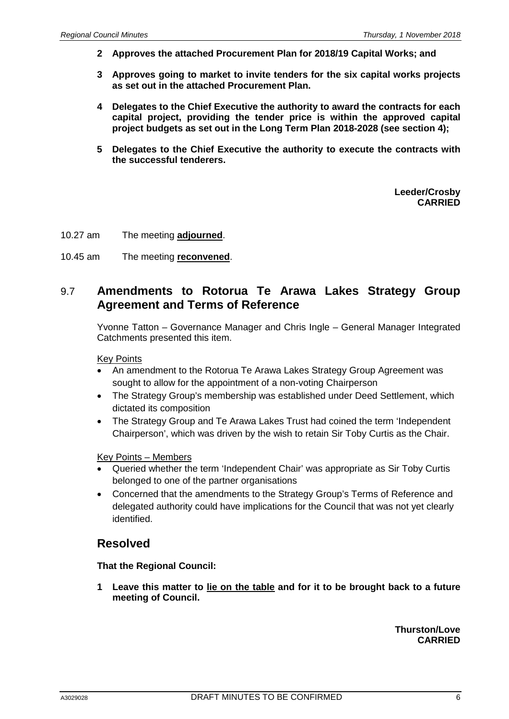- **2 Approves the attached Procurement Plan for 2018/19 Capital Works; and**
- **3 Approves going to market to invite tenders for the six capital works projects as set out in the attached Procurement Plan.**
- **4 Delegates to the Chief Executive the authority to award the contracts for each capital project, providing the tender price is within the approved capital project budgets as set out in the Long Term Plan 2018-2028 (see section 4);**
- **5 Delegates to the Chief Executive the authority to execute the contracts with the successful tenderers.**

**Leeder/Crosby CARRIED**

- 10.27 am The meeting **adjourned**.
- 10.45 am The meeting **reconvened**.

#### 9.7 **Amendments to Rotorua Te Arawa Lakes Strategy Group Agreement and Terms of Reference**

Yvonne Tatton – Governance Manager and Chris Ingle – General Manager Integrated Catchments presented this item.

Key Points

- An amendment to the Rotorua Te Arawa Lakes Strategy Group Agreement was sought to allow for the appointment of a non-voting Chairperson
- The Strategy Group's membership was established under Deed Settlement, which dictated its composition
- The Strategy Group and Te Arawa Lakes Trust had coined the term 'Independent Chairperson', which was driven by the wish to retain Sir Toby Curtis as the Chair.

Key Points – Members

- Queried whether the term 'Independent Chair' was appropriate as Sir Toby Curtis belonged to one of the partner organisations
- Concerned that the amendments to the Strategy Group's Terms of Reference and delegated authority could have implications for the Council that was not yet clearly identified.

### **Resolved**

**That the Regional Council:**

**1 Leave this matter to lie on the table and for it to be brought back to a future meeting of Council.**

> **Thurston/Love CARRIED**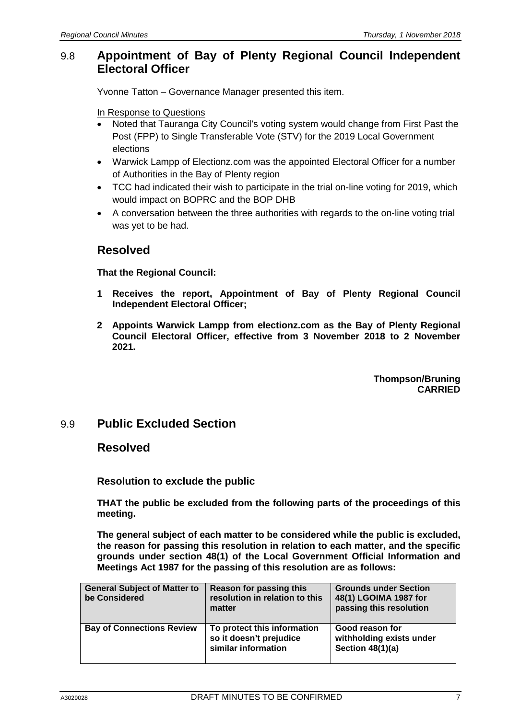### 9.8 **Appointment of Bay of Plenty Regional Council Independent Electoral Officer**

Yvonne Tatton – Governance Manager presented this item.

In Response to Questions

- Noted that Tauranga City Council's voting system would change from First Past the Post (FPP) to Single Transferable Vote (STV) for the 2019 Local Government elections
- Warwick Lampp of Electionz.com was the appointed Electoral Officer for a number of Authorities in the Bay of Plenty region
- TCC had indicated their wish to participate in the trial on-line voting for 2019, which would impact on BOPRC and the BOP DHB
- A conversation between the three authorities with regards to the on-line voting trial was yet to be had.

## **Resolved**

**That the Regional Council:**

- **1 Receives the report, Appointment of Bay of Plenty Regional Council Independent Electoral Officer;**
- **2 Appoints Warwick Lampp from electionz.com as the Bay of Plenty Regional Council Electoral Officer, effective from 3 November 2018 to 2 November 2021.**

**Thompson/Bruning CARRIED**

## 9.9 **Public Excluded Section**

### **Resolved**

**Resolution to exclude the public**

**THAT the public be excluded from the following parts of the proceedings of this meeting.**

**The general subject of each matter to be considered while the public is excluded, the reason for passing this resolution in relation to each matter, and the specific grounds under section 48(1) of the Local Government Official Information and Meetings Act 1987 for the passing of this resolution are as follows:**

| <b>General Subject of Matter to</b><br>be Considered | <b>Reason for passing this</b><br>resolution in relation to this<br>matter    | <b>Grounds under Section</b><br>48(1) LGOIMA 1987 for<br>passing this resolution |
|------------------------------------------------------|-------------------------------------------------------------------------------|----------------------------------------------------------------------------------|
| <b>Bay of Connections Review</b>                     | To protect this information<br>so it doesn't prejudice<br>similar information | Good reason for<br>withholding exists under<br>Section 48(1)(a)                  |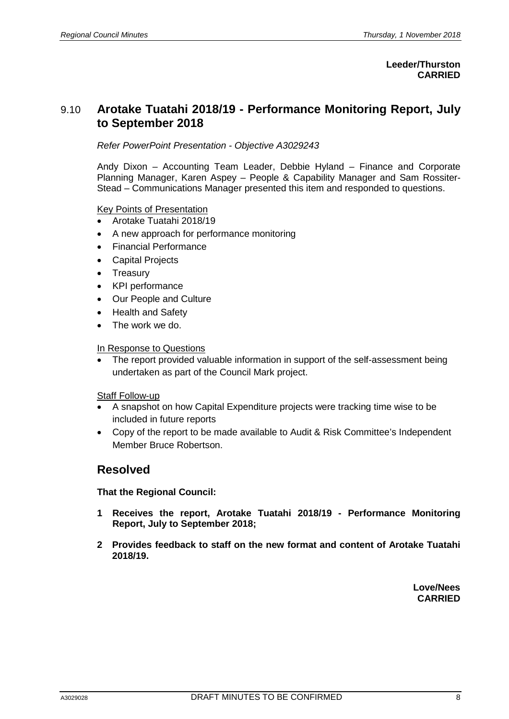#### **Leeder/Thurston CARRIED**

## 9.10 **Arotake Tuatahi 2018/19 - Performance Monitoring Report, July to September 2018**

*Refer PowerPoint Presentation - Objective A3029243*

Andy Dixon – Accounting Team Leader, Debbie Hyland – Finance and Corporate Planning Manager, Karen Aspey – People & Capability Manager and Sam Rossiter-Stead – Communications Manager presented this item and responded to questions.

#### Key Points of Presentation

- Arotake Tuatahi 2018/19
- A new approach for performance monitoring
- Financial Performance
- **Capital Projects**
- Treasury
- KPI performance
- Our People and Culture
- Health and Safety
- The work we do.

#### In Response to Questions

• The report provided valuable information in support of the self-assessment being undertaken as part of the Council Mark project.

#### Staff Follow-up

- A snapshot on how Capital Expenditure projects were tracking time wise to be included in future reports
- Copy of the report to be made available to Audit & Risk Committee's Independent Member Bruce Robertson.

#### **Resolved**

**That the Regional Council:**

- **1 Receives the report, Arotake Tuatahi 2018/19 - Performance Monitoring Report, July to September 2018;**
- **2 Provides feedback to staff on the new format and content of Arotake Tuatahi 2018/19.**

**Love/Nees CARRIED**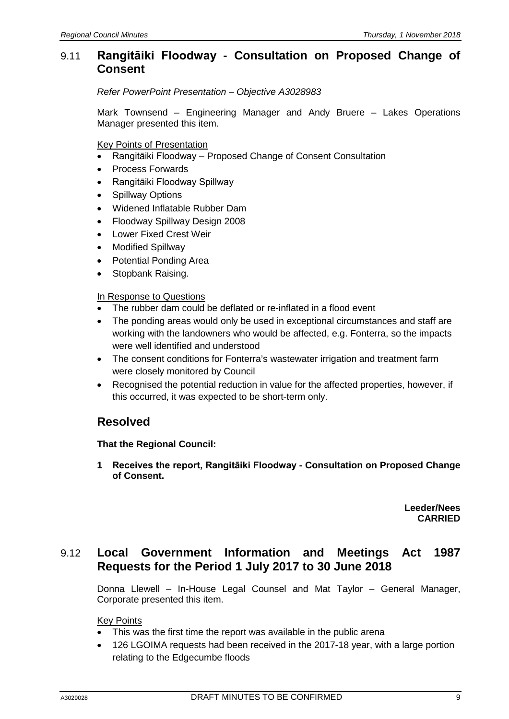### 9.11 **Rangitāiki Floodway - Consultation on Proposed Change of Consent**

*Refer PowerPoint Presentation – Objective A3028983*

Mark Townsend – Engineering Manager and Andy Bruere – Lakes Operations Manager presented this item.

Key Points of Presentation

- Rangitāiki Floodway Proposed Change of Consent Consultation
- Process Forwards
- Rangitāiki Floodway Spillway
- Spillway Options
- Widened Inflatable Rubber Dam
- Floodway Spillway Design 2008
- Lower Fixed Crest Weir
- Modified Spillway
- Potential Ponding Area
- Stopbank Raising.

#### In Response to Questions

- The rubber dam could be deflated or re-inflated in a flood event
- The ponding areas would only be used in exceptional circumstances and staff are working with the landowners who would be affected, e.g. Fonterra, so the impacts were well identified and understood
- The consent conditions for Fonterra's wastewater irrigation and treatment farm were closely monitored by Council
- Recognised the potential reduction in value for the affected properties, however, if this occurred, it was expected to be short-term only.

### **Resolved**

#### **That the Regional Council:**

**1 Receives the report, Rangitāiki Floodway - Consultation on Proposed Change of Consent.**

> **Leeder/Nees CARRIED**

#### 9.12 **Local Government Information and Meetings Act 1987 Requests for the Period 1 July 2017 to 30 June 2018**

Donna Llewell – In-House Legal Counsel and Mat Taylor – General Manager, Corporate presented this item.

Key Points

- This was the first time the report was available in the public arena
- 126 LGOIMA requests had been received in the 2017-18 year, with a large portion relating to the Edgecumbe floods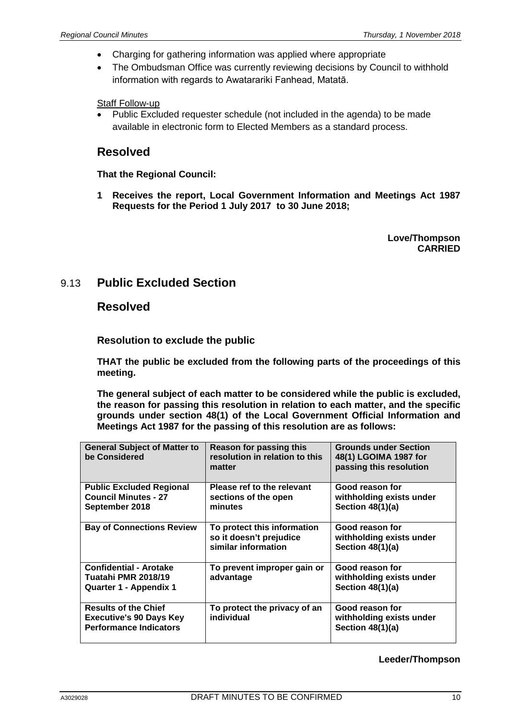- Charging for gathering information was applied where appropriate
- The Ombudsman Office was currently reviewing decisions by Council to withhold information with regards to Awatarariki Fanhead, Matatā.

Staff Follow-up

• Public Excluded requester schedule (not included in the agenda) to be made available in electronic form to Elected Members as a standard process.

#### **Resolved**

**That the Regional Council:**

**1 Receives the report, Local Government Information and Meetings Act 1987 Requests for the Period 1 July 2017 to 30 June 2018;**

> **Love/Thompson CARRIED**

### 9.13 **Public Excluded Section**

#### **Resolved**

**Resolution to exclude the public**

**THAT the public be excluded from the following parts of the proceedings of this meeting.**

**The general subject of each matter to be considered while the public is excluded, the reason for passing this resolution in relation to each matter, and the specific grounds under section 48(1) of the Local Government Official Information and Meetings Act 1987 for the passing of this resolution are as follows:**

| <b>General Subject of Matter to</b><br>be Considered                                    | <b>Reason for passing this</b><br>resolution in relation to this<br>matter    | <b>Grounds under Section</b><br>48(1) LGOIMA 1987 for<br>passing this resolution |
|-----------------------------------------------------------------------------------------|-------------------------------------------------------------------------------|----------------------------------------------------------------------------------|
| <b>Public Excluded Regional</b><br><b>Council Minutes - 27</b><br>September 2018        | Please ref to the relevant<br>sections of the open<br>minutes                 | Good reason for<br>withholding exists under<br>Section 48(1)(a)                  |
| <b>Bay of Connections Review</b>                                                        | To protect this information<br>so it doesn't prejudice<br>similar information | Good reason for<br>withholding exists under<br>Section 48(1)(a)                  |
| <b>Confidential - Arotake</b><br>Tuatahi PMR 2018/19<br>Quarter 1 - Appendix 1          | To prevent improper gain or<br>advantage                                      | Good reason for<br>withholding exists under<br>Section 48(1)(a)                  |
| <b>Results of the Chief</b><br>Executive's 90 Days Key<br><b>Performance Indicators</b> | To protect the privacy of an<br>individual                                    | Good reason for<br>withholding exists under<br>Section $48(1)(a)$                |

#### **Leeder/Thompson**